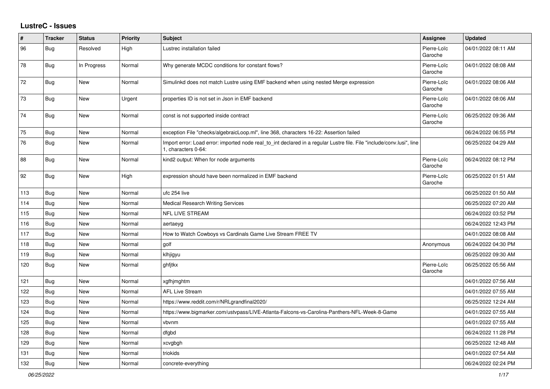## **LustreC - Issues**

| #   | <b>Tracker</b> | <b>Status</b> | <b>Priority</b> | <b>Subject</b>                                                                                                                               | <b>Assignee</b>        | <b>Updated</b>      |
|-----|----------------|---------------|-----------------|----------------------------------------------------------------------------------------------------------------------------------------------|------------------------|---------------------|
| 96  | Bug            | Resolved      | High            | Lustrec installation failed                                                                                                                  | Pierre-Loïc<br>Garoche | 04/01/2022 08:11 AM |
| 78  | <b>Bug</b>     | In Progress   | Normal          | Why generate MCDC conditions for constant flows?                                                                                             | Pierre-Loïc<br>Garoche | 04/01/2022 08:08 AM |
| 72  | Bug            | <b>New</b>    | Normal          | Simulinkd does not match Lustre using EMF backend when using nested Merge expression                                                         | Pierre-Loïc<br>Garoche | 04/01/2022 08:06 AM |
| 73  | <b>Bug</b>     | <b>New</b>    | Urgent          | properties ID is not set in Json in EMF backend                                                                                              | Pierre-Loïc<br>Garoche | 04/01/2022 08:06 AM |
| 74  | <b>Bug</b>     | <b>New</b>    | Normal          | const is not supported inside contract                                                                                                       | Pierre-Loïc<br>Garoche | 06/25/2022 09:36 AM |
| 75  | <b>Bug</b>     | <b>New</b>    | Normal          | exception File "checks/algebraicLoop.ml", line 368, characters 16-22: Assertion failed                                                       |                        | 06/24/2022 06:55 PM |
| 76  | <b>Bug</b>     | <b>New</b>    | Normal          | Import error: Load error: imported node real_to_int declared in a regular Lustre file. File "include/conv.lusi", line<br>1, characters 0-64: |                        | 06/25/2022 04:29 AM |
| 88  | Bug            | <b>New</b>    | Normal          | kind2 output: When for node arguments                                                                                                        | Pierre-Loïc<br>Garoche | 06/24/2022 08:12 PM |
| 92  | <b>Bug</b>     | <b>New</b>    | High            | expression should have been normalized in EMF backend                                                                                        | Pierre-Loïc<br>Garoche | 06/25/2022 01:51 AM |
| 113 | Bug            | New           | Normal          | ufc 254 live                                                                                                                                 |                        | 06/25/2022 01:50 AM |
| 114 | <b>Bug</b>     | <b>New</b>    | Normal          | <b>Medical Research Writing Services</b>                                                                                                     |                        | 06/25/2022 07:20 AM |
| 115 | <b>Bug</b>     | <b>New</b>    | Normal          | <b>NFL LIVE STREAM</b>                                                                                                                       |                        | 06/24/2022 03:52 PM |
| 116 | Bug            | <b>New</b>    | Normal          | aertaeyg                                                                                                                                     |                        | 06/24/2022 12:43 PM |
| 117 | Bug            | <b>New</b>    | Normal          | How to Watch Cowboys vs Cardinals Game Live Stream FREE TV                                                                                   |                        | 04/01/2022 08:08 AM |
| 118 | Bug            | <b>New</b>    | Normal          | golf                                                                                                                                         | Anonymous              | 06/24/2022 04:30 PM |
| 119 | Bug            | <b>New</b>    | Normal          | klhjigyu                                                                                                                                     |                        | 06/25/2022 09:30 AM |
| 120 | <b>Bug</b>     | <b>New</b>    | Normal          | ghfjtkx                                                                                                                                      | Pierre-Loïc<br>Garoche | 06/25/2022 05:56 AM |
| 121 | Bug            | New           | Normal          | xgfhjmghtm                                                                                                                                   |                        | 04/01/2022 07:56 AM |
| 122 | Bug            | <b>New</b>    | Normal          | <b>AFL Live Stream</b>                                                                                                                       |                        | 04/01/2022 07:55 AM |
| 123 | <b>Bug</b>     | <b>New</b>    | Normal          | https://www.reddit.com/r/NRLgrandfinal2020/                                                                                                  |                        | 06/25/2022 12:24 AM |
| 124 | <b>Bug</b>     | <b>New</b>    | Normal          | https://www.bigmarker.com/ustvpass/LIVE-Atlanta-Falcons-vs-Carolina-Panthers-NFL-Week-8-Game                                                 |                        | 04/01/2022 07:55 AM |
| 125 | <b>Bug</b>     | <b>New</b>    | Normal          | vbvnm                                                                                                                                        |                        | 04/01/2022 07:55 AM |
| 128 | Bug            | <b>New</b>    | Normal          | dfgbd                                                                                                                                        |                        | 06/24/2022 11:28 PM |
| 129 | <b>Bug</b>     | <b>New</b>    | Normal          | xcvgbgh                                                                                                                                      |                        | 06/25/2022 12:48 AM |
| 131 | <b>Bug</b>     | <b>New</b>    | Normal          | triokids                                                                                                                                     |                        | 04/01/2022 07:54 AM |
| 132 | <b>Bug</b>     | <b>New</b>    | Normal          | concrete-everything                                                                                                                          |                        | 06/24/2022 02:24 PM |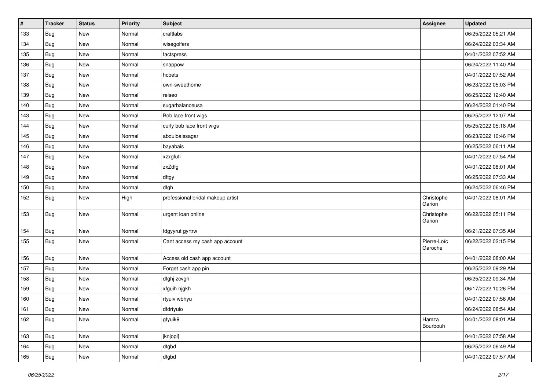| #   | <b>Tracker</b> | <b>Status</b> | <b>Priority</b> | <b>Subject</b>                    | <b>Assignee</b>        | <b>Updated</b>      |
|-----|----------------|---------------|-----------------|-----------------------------------|------------------------|---------------------|
| 133 | <b>Bug</b>     | New           | Normal          | craftlabs                         |                        | 06/25/2022 05:21 AM |
| 134 | <b>Bug</b>     | <b>New</b>    | Normal          | wisegolfers                       |                        | 06/24/2022 03:34 AM |
| 135 | <b>Bug</b>     | New           | Normal          | factspress                        |                        | 04/01/2022 07:52 AM |
| 136 | <b>Bug</b>     | New           | Normal          | snappow                           |                        | 06/24/2022 11:40 AM |
| 137 | <b>Bug</b>     | New           | Normal          | hcbets                            |                        | 04/01/2022 07:52 AM |
| 138 | <b>Bug</b>     | New           | Normal          | own-sweethome                     |                        | 06/23/2022 05:03 PM |
| 139 | <b>Bug</b>     | <b>New</b>    | Normal          | relseo                            |                        | 06/25/2022 12:40 AM |
| 140 | <b>Bug</b>     | New           | Normal          | sugarbalanceusa                   |                        | 06/24/2022 01:40 PM |
| 143 | <b>Bug</b>     | New           | Normal          | Bob lace front wigs               |                        | 06/25/2022 12:07 AM |
| 144 | <b>Bug</b>     | New           | Normal          | curly bob lace front wigs         |                        | 05/25/2022 05:18 AM |
| 145 | <b>Bug</b>     | New           | Normal          | abdulbaissagar                    |                        | 06/23/2022 10:46 PM |
| 146 | <b>Bug</b>     | New           | Normal          | bayabais                          |                        | 06/25/2022 06:11 AM |
| 147 | <b>Bug</b>     | New           | Normal          | xzxgfufi                          |                        | 04/01/2022 07:54 AM |
| 148 | <b>Bug</b>     | <b>New</b>    | Normal          | zxZdfg                            |                        | 04/01/2022 08:01 AM |
| 149 | <b>Bug</b>     | New           | Normal          | dftgy                             |                        | 06/25/2022 07:33 AM |
| 150 | <b>Bug</b>     | New           | Normal          | dfgh                              |                        | 06/24/2022 06:46 PM |
| 152 | <b>Bug</b>     | New           | High            | professional bridal makeup artist | Christophe<br>Garion   | 04/01/2022 08:01 AM |
| 153 | <b>Bug</b>     | New           | Normal          | urgent loan online                | Christophe<br>Garion   | 06/22/2022 05:11 PM |
| 154 | <b>Bug</b>     | New           | Normal          | fdgyyrut gyrtrw                   |                        | 06/21/2022 07:35 AM |
| 155 | <b>Bug</b>     | New           | Normal          | Cant access my cash app account   | Pierre-Loïc<br>Garoche | 06/22/2022 02:15 PM |
| 156 | <b>Bug</b>     | New           | Normal          | Access old cash app account       |                        | 04/01/2022 08:00 AM |
| 157 | <b>Bug</b>     | New           | Normal          | Forget cash app pin               |                        | 06/25/2022 09:29 AM |
| 158 | <b>Bug</b>     | New           | Normal          | dfghj zcvgh                       |                        | 06/25/2022 09:34 AM |
| 159 | <b>Bug</b>     | New           | Normal          | xfguih njgkh                      |                        | 06/17/2022 10:26 PM |
| 160 | <b>Bug</b>     | <b>New</b>    | Normal          | rtyuiv wbhyu                      |                        | 04/01/2022 07:56 AM |
| 161 | <b>Bug</b>     | New           | Normal          | dfdrtyuio                         |                        | 06/24/2022 08:54 AM |
| 162 | Bug            | New           | Normal          | gfyuik9                           | Hamza<br>Bourbouh      | 04/01/2022 08:01 AM |
| 163 | <b>Bug</b>     | New           | Normal          | jknjopl[                          |                        | 04/01/2022 07:58 AM |
| 164 | <b>Bug</b>     | New           | Normal          | dfgbd                             |                        | 06/25/2022 06:49 AM |
| 165 | <b>Bug</b>     | New           | Normal          | dfgbd                             |                        | 04/01/2022 07:57 AM |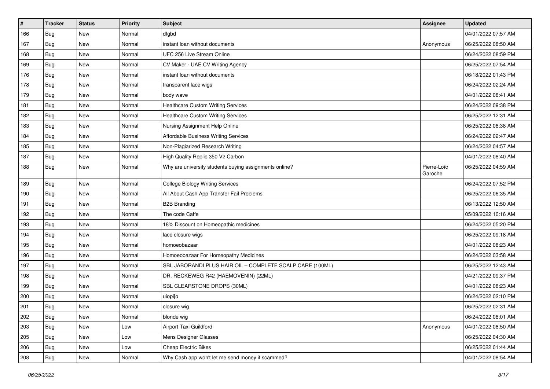| #   | <b>Tracker</b> | <b>Status</b> | <b>Priority</b> | <b>Subject</b>                                            | Assignee               | <b>Updated</b>      |
|-----|----------------|---------------|-----------------|-----------------------------------------------------------|------------------------|---------------------|
| 166 | Bug            | New           | Normal          | dfgbd                                                     |                        | 04/01/2022 07:57 AM |
| 167 | <b>Bug</b>     | <b>New</b>    | Normal          | instant loan without documents                            | Anonymous              | 06/25/2022 08:50 AM |
| 168 | <b>Bug</b>     | New           | Normal          | UFC 256 Live Stream Online                                |                        | 06/24/2022 08:59 PM |
| 169 | <b>Bug</b>     | <b>New</b>    | Normal          | CV Maker - UAE CV Writing Agency                          |                        | 06/25/2022 07:54 AM |
| 176 | <b>Bug</b>     | <b>New</b>    | Normal          | instant loan without documents                            |                        | 06/18/2022 01:43 PM |
| 178 | <b>Bug</b>     | New           | Normal          | transparent lace wigs                                     |                        | 06/24/2022 02:24 AM |
| 179 | <b>Bug</b>     | <b>New</b>    | Normal          | body wave                                                 |                        | 04/01/2022 08:41 AM |
| 181 | <b>Bug</b>     | New           | Normal          | <b>Healthcare Custom Writing Services</b>                 |                        | 06/24/2022 09:38 PM |
| 182 | Bug            | New           | Normal          | <b>Healthcare Custom Writing Services</b>                 |                        | 06/25/2022 12:31 AM |
| 183 | <b>Bug</b>     | <b>New</b>    | Normal          | Nursing Assignment Help Online                            |                        | 06/25/2022 08:38 AM |
| 184 | Bug            | New           | Normal          | Affordable Business Writing Services                      |                        | 06/24/2022 02:47 AM |
| 185 | <b>Bug</b>     | <b>New</b>    | Normal          | Non-Plagiarized Research Writing                          |                        | 06/24/2022 04:57 AM |
| 187 | Bug            | New           | Normal          | High Quality Replic 350 V2 Carbon                         |                        | 04/01/2022 08:40 AM |
| 188 | <b>Bug</b>     | New           | Normal          | Why are university students buying assignments online?    | Pierre-Loïc<br>Garoche | 06/25/2022 04:59 AM |
| 189 | <b>Bug</b>     | <b>New</b>    | Normal          | <b>College Biology Writing Services</b>                   |                        | 06/24/2022 07:52 PM |
| 190 | <b>Bug</b>     | New           | Normal          | All About Cash App Transfer Fail Problems                 |                        | 06/25/2022 06:35 AM |
| 191 | <b>Bug</b>     | <b>New</b>    | Normal          | <b>B2B Branding</b>                                       |                        | 06/13/2022 12:50 AM |
| 192 | <b>Bug</b>     | <b>New</b>    | Normal          | The code Caffe                                            |                        | 05/09/2022 10:16 AM |
| 193 | <b>Bug</b>     | <b>New</b>    | Normal          | 18% Discount on Homeopathic medicines                     |                        | 06/24/2022 05:20 PM |
| 194 | Bug            | New           | Normal          | lace closure wigs                                         |                        | 06/25/2022 09:18 AM |
| 195 | Bug            | New           | Normal          | homoeobazaar                                              |                        | 04/01/2022 08:23 AM |
| 196 | <b>Bug</b>     | <b>New</b>    | Normal          | Homoeobazaar For Homeopathy Medicines                     |                        | 06/24/2022 03:58 AM |
| 197 | Bug            | New           | Normal          | SBL JABORANDI PLUS HAIR OIL - COMPLETE SCALP CARE (100ML) |                        | 06/25/2022 12:43 AM |
| 198 | <b>Bug</b>     | <b>New</b>    | Normal          | DR. RECKEWEG R42 (HAEMOVENIN) (22ML)                      |                        | 04/21/2022 09:37 PM |
| 199 | Bug            | New           | Normal          | SBL CLEARSTONE DROPS (30ML)                               |                        | 04/01/2022 08:23 AM |
| 200 | <b>Bug</b>     | New           | Normal          | uiopi[o                                                   |                        | 06/24/2022 02:10 PM |
| 201 | <b>Bug</b>     | New           | Normal          | closure wig                                               |                        | 06/25/2022 02:31 AM |
| 202 | <b>Bug</b>     | New           | Normal          | blonde wig                                                |                        | 06/24/2022 08:01 AM |
| 203 | Bug            | New           | Low             | Airport Taxi Guildford                                    | Anonymous              | 04/01/2022 08:50 AM |
| 205 | <b>Bug</b>     | New           | Low             | Mens Designer Glasses                                     |                        | 06/25/2022 04:30 AM |
| 206 | <b>Bug</b>     | New           | Low             | <b>Cheap Electric Bikes</b>                               |                        | 06/25/2022 01:44 AM |
| 208 | <b>Bug</b>     | New           | Normal          | Why Cash app won't let me send money if scammed?          |                        | 04/01/2022 08:54 AM |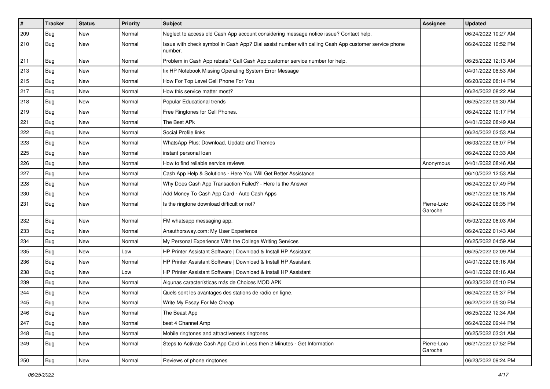| $\sharp$ | Tracker    | <b>Status</b> | <b>Priority</b> | <b>Subject</b>                                                                                                  | <b>Assignee</b>        | <b>Updated</b>      |
|----------|------------|---------------|-----------------|-----------------------------------------------------------------------------------------------------------------|------------------------|---------------------|
| 209      | <b>Bug</b> | New           | Normal          | Neglect to access old Cash App account considering message notice issue? Contact help.                          |                        | 06/24/2022 10:27 AM |
| 210      | <b>Bug</b> | New           | Normal          | Issue with check symbol in Cash App? Dial assist number with calling Cash App customer service phone<br>number. |                        | 06/24/2022 10:52 PM |
| 211      | <b>Bug</b> | <b>New</b>    | Normal          | Problem in Cash App rebate? Call Cash App customer service number for help.                                     |                        | 06/25/2022 12:13 AM |
| 213      | Bug        | New           | Normal          | fix HP Notebook Missing Operating System Error Message                                                          |                        | 04/01/2022 08:53 AM |
| 215      | <b>Bug</b> | <b>New</b>    | Normal          | How For Top Level Cell Phone For You                                                                            |                        | 06/20/2022 08:14 PM |
| 217      | <b>Bug</b> | New           | Normal          | How this service matter most?                                                                                   |                        | 06/24/2022 08:22 AM |
| 218      | <b>Bug</b> | New           | Normal          | Popular Educational trends                                                                                      |                        | 06/25/2022 09:30 AM |
| 219      | <b>Bug</b> | New           | Normal          | Free Ringtones for Cell Phones.                                                                                 |                        | 06/24/2022 10:17 PM |
| 221      | Bug        | New           | Normal          | The Best APk                                                                                                    |                        | 04/01/2022 08:49 AM |
| 222      | <b>Bug</b> | New           | Normal          | Social Profile links                                                                                            |                        | 06/24/2022 02:53 AM |
| 223      | Bug        | New           | Normal          | WhatsApp Plus: Download, Update and Themes                                                                      |                        | 06/03/2022 08:07 PM |
| 225      | <b>Bug</b> | New           | Normal          | instant personal loan                                                                                           |                        | 06/24/2022 03:33 AM |
| 226      | <b>Bug</b> | New           | Normal          | How to find reliable service reviews                                                                            | Anonymous              | 04/01/2022 08:46 AM |
| 227      | <b>Bug</b> | <b>New</b>    | Normal          | Cash App Help & Solutions - Here You Will Get Better Assistance                                                 |                        | 06/10/2022 12:53 AM |
| 228      | Bug        | New           | Normal          | Why Does Cash App Transaction Failed? - Here Is the Answer                                                      |                        | 06/24/2022 07:49 PM |
| 230      | <b>Bug</b> | New           | Normal          | Add Money To Cash App Card - Auto Cash Apps                                                                     |                        | 06/21/2022 08:18 AM |
| 231      | <b>Bug</b> | New           | Normal          | Is the ringtone download difficult or not?                                                                      | Pierre-Loïc<br>Garoche | 06/24/2022 06:35 PM |
| 232      | <b>Bug</b> | <b>New</b>    | Normal          | FM whatsapp messaging app.                                                                                      |                        | 05/02/2022 06:03 AM |
| 233      | <b>Bug</b> | <b>New</b>    | Normal          | Anauthorsway.com: My User Experience                                                                            |                        | 06/24/2022 01:43 AM |
| 234      | <b>Bug</b> | New           | Normal          | My Personal Experience With the College Writing Services                                                        |                        | 06/25/2022 04:59 AM |
| 235      | <b>Bug</b> | <b>New</b>    | Low             | HP Printer Assistant Software   Download & Install HP Assistant                                                 |                        | 06/25/2022 02:09 AM |
| 236      | <b>Bug</b> | New           | Normal          | HP Printer Assistant Software   Download & Install HP Assistant                                                 |                        | 04/01/2022 08:16 AM |
| 238      | <b>Bug</b> | New           | Low             | HP Printer Assistant Software   Download & Install HP Assistant                                                 |                        | 04/01/2022 08:16 AM |
| 239      | <b>Bug</b> | <b>New</b>    | Normal          | Algunas características más de Choices MOD APK                                                                  |                        | 06/23/2022 05:10 PM |
| 244      | <b>Bug</b> | New           | Normal          | Quels sont les avantages des stations de radio en ligne.                                                        |                        | 06/24/2022 05:37 PM |
| 245      | <b>Bug</b> | <b>New</b>    | Normal          | Write My Essay For Me Cheap                                                                                     |                        | 06/22/2022 05:30 PM |
| 246      | <b>Bug</b> | New           | Normal          | The Beast App                                                                                                   |                        | 06/25/2022 12:34 AM |
| 247      | <b>Bug</b> | New           | Normal          | best 4 Channel Amp                                                                                              |                        | 06/24/2022 09:44 PM |
| 248      | <b>Bug</b> | New           | Normal          | Mobile ringtones and attractiveness ringtones                                                                   |                        | 06/25/2022 03:31 AM |
| 249      | <b>Bug</b> | New           | Normal          | Steps to Activate Cash App Card in Less then 2 Minutes - Get Information                                        | Pierre-Loïc<br>Garoche | 06/21/2022 07:52 PM |
| 250      | <b>Bug</b> | New           | Normal          | Reviews of phone ringtones                                                                                      |                        | 06/23/2022 09:24 PM |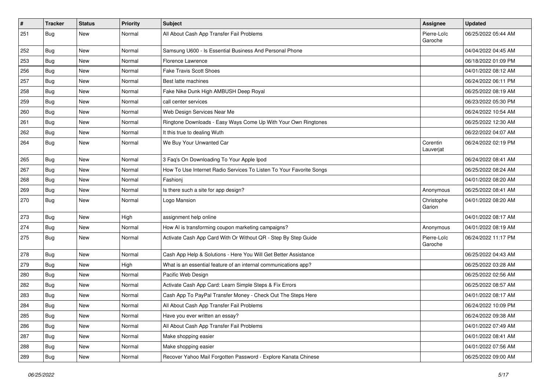| $\sharp$ | <b>Tracker</b> | <b>Status</b> | <b>Priority</b> | <b>Subject</b>                                                      | <b>Assignee</b>        | <b>Updated</b>      |
|----------|----------------|---------------|-----------------|---------------------------------------------------------------------|------------------------|---------------------|
| 251      | <b>Bug</b>     | New           | Normal          | All About Cash App Transfer Fail Problems                           | Pierre-Loïc<br>Garoche | 06/25/2022 05:44 AM |
| 252      | <b>Bug</b>     | New           | Normal          | Samsung U600 - Is Essential Business And Personal Phone             |                        | 04/04/2022 04:45 AM |
| 253      | <b>Bug</b>     | New           | Normal          | Florence Lawrence                                                   |                        | 06/18/2022 01:09 PM |
| 256      | <b>Bug</b>     | <b>New</b>    | Normal          | <b>Fake Travis Scott Shoes</b>                                      |                        | 04/01/2022 08:12 AM |
| 257      | <b>Bug</b>     | <b>New</b>    | Normal          | Best latte machines                                                 |                        | 06/24/2022 06:11 PM |
| 258      | <b>Bug</b>     | New           | Normal          | Fake Nike Dunk High AMBUSH Deep Royal                               |                        | 06/25/2022 08:19 AM |
| 259      | <b>Bug</b>     | New           | Normal          | call center services                                                |                        | 06/23/2022 05:30 PM |
| 260      | <b>Bug</b>     | New           | Normal          | Web Design Services Near Me                                         |                        | 06/24/2022 10:54 AM |
| 261      | <b>Bug</b>     | <b>New</b>    | Normal          | Ringtone Downloads - Easy Ways Come Up With Your Own Ringtones      |                        | 06/25/2022 12:30 AM |
| 262      | <b>Bug</b>     | New           | Normal          | It this true to dealing Wuth                                        |                        | 06/22/2022 04:07 AM |
| 264      | <b>Bug</b>     | New           | Normal          | We Buy Your Unwanted Car                                            | Corentin<br>Lauverjat  | 06/24/2022 02:19 PM |
| 265      | <b>Bug</b>     | <b>New</b>    | Normal          | 3 Faq's On Downloading To Your Apple Ipod                           |                        | 06/24/2022 08:41 AM |
| 267      | <b>Bug</b>     | New           | Normal          | How To Use Internet Radio Services To Listen To Your Favorite Songs |                        | 06/25/2022 08:24 AM |
| 268      | <b>Bug</b>     | New           | Normal          | Fashionj                                                            |                        | 04/01/2022 08:20 AM |
| 269      | <b>Bug</b>     | New           | Normal          | Is there such a site for app design?                                | Anonymous              | 06/25/2022 08:41 AM |
| 270      | <b>Bug</b>     | New           | Normal          | Logo Mansion                                                        | Christophe<br>Garion   | 04/01/2022 08:20 AM |
| 273      | <b>Bug</b>     | <b>New</b>    | High            | assignment help online                                              |                        | 04/01/2022 08:17 AM |
| 274      | <b>Bug</b>     | New           | Normal          | How AI is transforming coupon marketing campaigns?                  | Anonymous              | 04/01/2022 08:19 AM |
| 275      | Bug            | New           | Normal          | Activate Cash App Card With Or Without QR - Step By Step Guide      | Pierre-Loïc<br>Garoche | 06/24/2022 11:17 PM |
| 278      | <b>Bug</b>     | <b>New</b>    | Normal          | Cash App Help & Solutions - Here You Will Get Better Assistance     |                        | 06/25/2022 04:43 AM |
| 279      | <b>Bug</b>     | New           | High            | What is an essential feature of an internal communications app?     |                        | 06/25/2022 03:28 AM |
| 280      | <b>Bug</b>     | <b>New</b>    | Normal          | Pacific Web Design                                                  |                        | 06/25/2022 02:56 AM |
| 282      | <b>Bug</b>     | New           | Normal          | Activate Cash App Card: Learn Simple Steps & Fix Errors             |                        | 06/25/2022 08:57 AM |
| 283      | <b>Bug</b>     | New           | Normal          | Cash App To PayPal Transfer Money - Check Out The Steps Here        |                        | 04/01/2022 08:17 AM |
| 284      | Bug            | New           | Normal          | All About Cash App Transfer Fail Problems                           |                        | 06/24/2022 10:09 PM |
| 285      | <b>Bug</b>     | New           | Normal          | Have you ever written an essay?                                     |                        | 06/24/2022 09:38 AM |
| 286      | <b>Bug</b>     | New           | Normal          | All About Cash App Transfer Fail Problems                           |                        | 04/01/2022 07:49 AM |
| 287      | <b>Bug</b>     | New           | Normal          | Make shopping easier                                                |                        | 04/01/2022 08:41 AM |
| 288      | <b>Bug</b>     | New           | Normal          | Make shopping easier                                                |                        | 04/01/2022 07:56 AM |
| 289      | <b>Bug</b>     | New           | Normal          | Recover Yahoo Mail Forgotten Password - Explore Kanata Chinese      |                        | 06/25/2022 09:00 AM |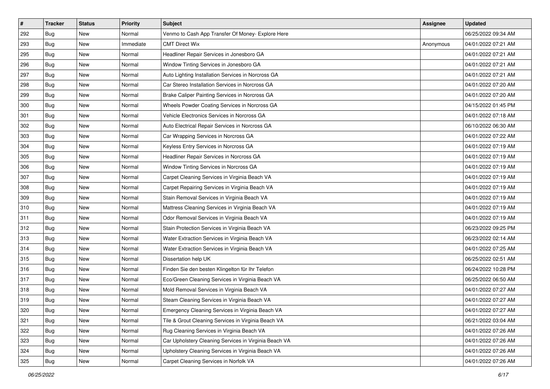| $\sharp$ | <b>Tracker</b> | <b>Status</b> | <b>Priority</b> | <b>Subject</b>                                        | <b>Assignee</b> | <b>Updated</b>      |
|----------|----------------|---------------|-----------------|-------------------------------------------------------|-----------------|---------------------|
| 292      | <b>Bug</b>     | New           | Normal          | Venmo to Cash App Transfer Of Money- Explore Here     |                 | 06/25/2022 09:34 AM |
| 293      | <b>Bug</b>     | New           | Immediate       | <b>CMT Direct Wix</b>                                 | Anonymous       | 04/01/2022 07:21 AM |
| 295      | Bug            | New           | Normal          | Headliner Repair Services in Jonesboro GA             |                 | 04/01/2022 07:21 AM |
| 296      | <b>Bug</b>     | New           | Normal          | Window Tinting Services in Jonesboro GA               |                 | 04/01/2022 07:21 AM |
| 297      | <b>Bug</b>     | New           | Normal          | Auto Lighting Installation Services in Norcross GA    |                 | 04/01/2022 07:21 AM |
| 298      | <b>Bug</b>     | New           | Normal          | Car Stereo Installation Services in Norcross GA       |                 | 04/01/2022 07:20 AM |
| 299      | Bug            | New           | Normal          | Brake Caliper Painting Services in Norcross GA        |                 | 04/01/2022 07:20 AM |
| 300      | Bug            | New           | Normal          | Wheels Powder Coating Services in Norcross GA         |                 | 04/15/2022 01:45 PM |
| 301      | <b>Bug</b>     | New           | Normal          | Vehicle Electronics Services in Norcross GA           |                 | 04/01/2022 07:18 AM |
| 302      | Bug            | New           | Normal          | Auto Electrical Repair Services in Norcross GA        |                 | 06/10/2022 06:30 AM |
| 303      | <b>Bug</b>     | New           | Normal          | Car Wrapping Services in Norcross GA                  |                 | 04/01/2022 07:22 AM |
| 304      | <b>Bug</b>     | New           | Normal          | Keyless Entry Services in Norcross GA                 |                 | 04/01/2022 07:19 AM |
| 305      | Bug            | New           | Normal          | Headliner Repair Services in Norcross GA              |                 | 04/01/2022 07:19 AM |
| 306      | <b>Bug</b>     | New           | Normal          | Window Tinting Services in Norcross GA                |                 | 04/01/2022 07:19 AM |
| 307      | <b>Bug</b>     | New           | Normal          | Carpet Cleaning Services in Virginia Beach VA         |                 | 04/01/2022 07:19 AM |
| 308      | <b>Bug</b>     | New           | Normal          | Carpet Repairing Services in Virginia Beach VA        |                 | 04/01/2022 07:19 AM |
| 309      | <b>Bug</b>     | <b>New</b>    | Normal          | Stain Removal Services in Virginia Beach VA           |                 | 04/01/2022 07:19 AM |
| 310      | <b>Bug</b>     | New           | Normal          | Mattress Cleaning Services in Virginia Beach VA       |                 | 04/01/2022 07:19 AM |
| 311      | <b>Bug</b>     | New           | Normal          | Odor Removal Services in Virginia Beach VA            |                 | 04/01/2022 07:19 AM |
| 312      | <b>Bug</b>     | New           | Normal          | Stain Protection Services in Virginia Beach VA        |                 | 06/23/2022 09:25 PM |
| 313      | <b>Bug</b>     | New           | Normal          | Water Extraction Services in Virginia Beach VA        |                 | 06/23/2022 02:14 AM |
| 314      | <b>Bug</b>     | New           | Normal          | Water Extraction Services in Virginia Beach VA        |                 | 04/01/2022 07:25 AM |
| 315      | <b>Bug</b>     | New           | Normal          | Dissertation help UK                                  |                 | 06/25/2022 02:51 AM |
| 316      | <b>Bug</b>     | New           | Normal          | Finden Sie den besten Klingelton für Ihr Telefon      |                 | 06/24/2022 10:28 PM |
| 317      | <b>Bug</b>     | New           | Normal          | Eco/Green Cleaning Services in Virginia Beach VA      |                 | 06/25/2022 06:50 AM |
| 318      | <b>Bug</b>     | New           | Normal          | Mold Removal Services in Virginia Beach VA            |                 | 04/01/2022 07:27 AM |
| 319      | <b>Bug</b>     | <b>New</b>    | Normal          | Steam Cleaning Services in Virginia Beach VA          |                 | 04/01/2022 07:27 AM |
| 320      | <b>Bug</b>     | New           | Normal          | Emergency Cleaning Services in Virginia Beach VA      |                 | 04/01/2022 07:27 AM |
| 321      | Bug            | New           | Normal          | Tile & Grout Cleaning Services in Virginia Beach VA   |                 | 06/21/2022 03:04 AM |
| 322      | <b>Bug</b>     | New           | Normal          | Rug Cleaning Services in Virginia Beach VA            |                 | 04/01/2022 07:26 AM |
| 323      | <b>Bug</b>     | New           | Normal          | Car Upholstery Cleaning Services in Virginia Beach VA |                 | 04/01/2022 07:26 AM |
| 324      | Bug            | New           | Normal          | Upholstery Cleaning Services in Virginia Beach VA     |                 | 04/01/2022 07:26 AM |
| 325      | <b>Bug</b>     | New           | Normal          | Carpet Cleaning Services in Norfolk VA                |                 | 04/01/2022 07:26 AM |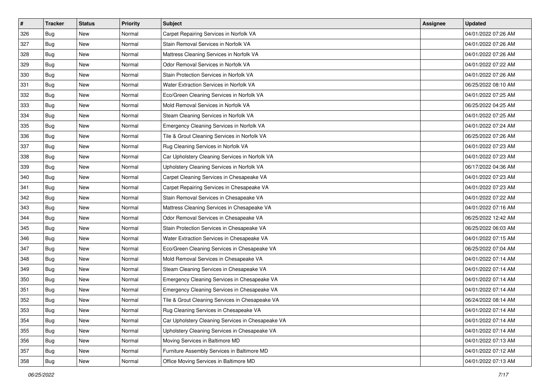| #   | <b>Tracker</b> | <b>Status</b> | <b>Priority</b> | <b>Subject</b>                                    | <b>Assignee</b> | <b>Updated</b>      |
|-----|----------------|---------------|-----------------|---------------------------------------------------|-----------------|---------------------|
| 326 | <b>Bug</b>     | New           | Normal          | Carpet Repairing Services in Norfolk VA           |                 | 04/01/2022 07:26 AM |
| 327 | <b>Bug</b>     | <b>New</b>    | Normal          | Stain Removal Services in Norfolk VA              |                 | 04/01/2022 07:26 AM |
| 328 | <b>Bug</b>     | New           | Normal          | Mattress Cleaning Services in Norfolk VA          |                 | 04/01/2022 07:26 AM |
| 329 | Bug            | New           | Normal          | Odor Removal Services in Norfolk VA               |                 | 04/01/2022 07:22 AM |
| 330 | <b>Bug</b>     | New           | Normal          | Stain Protection Services in Norfolk VA           |                 | 04/01/2022 07:26 AM |
| 331 | <b>Bug</b>     | New           | Normal          | Water Extraction Services in Norfolk VA           |                 | 06/25/2022 08:10 AM |
| 332 | <b>Bug</b>     | <b>New</b>    | Normal          | Eco/Green Cleaning Services in Norfolk VA         |                 | 04/01/2022 07:25 AM |
| 333 | <b>Bug</b>     | New           | Normal          | Mold Removal Services in Norfolk VA               |                 | 06/25/2022 04:25 AM |
| 334 | Bug            | New           | Normal          | Steam Cleaning Services in Norfolk VA             |                 | 04/01/2022 07:25 AM |
| 335 | <b>Bug</b>     | <b>New</b>    | Normal          | Emergency Cleaning Services in Norfolk VA         |                 | 04/01/2022 07:24 AM |
| 336 | <b>Bug</b>     | <b>New</b>    | Normal          | Tile & Grout Cleaning Services in Norfolk VA      |                 | 06/25/2022 07:26 AM |
| 337 | <b>Bug</b>     | New           | Normal          | Rug Cleaning Services in Norfolk VA               |                 | 04/01/2022 07:23 AM |
| 338 | <b>Bug</b>     | New           | Normal          | Car Upholstery Cleaning Services in Norfolk VA    |                 | 04/01/2022 07:23 AM |
| 339 | <b>Bug</b>     | New           | Normal          | Upholstery Cleaning Services in Norfolk VA        |                 | 06/17/2022 04:36 AM |
| 340 | <b>Bug</b>     | New           | Normal          | Carpet Cleaning Services in Chesapeake VA         |                 | 04/01/2022 07:23 AM |
| 341 | <b>Bug</b>     | New           | Normal          | Carpet Repairing Services in Chesapeake VA        |                 | 04/01/2022 07:23 AM |
| 342 | Bug            | New           | Normal          | Stain Removal Services in Chesapeake VA           |                 | 04/01/2022 07:22 AM |
| 343 | <b>Bug</b>     | <b>New</b>    | Normal          | Mattress Cleaning Services in Chesapeake VA       |                 | 04/01/2022 07:16 AM |
| 344 | <b>Bug</b>     | New           | Normal          | Odor Removal Services in Chesapeake VA            |                 | 06/25/2022 12:42 AM |
| 345 | <b>Bug</b>     | <b>New</b>    | Normal          | Stain Protection Services in Chesapeake VA        |                 | 06/25/2022 06:03 AM |
| 346 | <b>Bug</b>     | New           | Normal          | Water Extraction Services in Chesapeake VA        |                 | 04/01/2022 07:15 AM |
| 347 | Bug            | <b>New</b>    | Normal          | Eco/Green Cleaning Services in Chesapeake VA      |                 | 06/25/2022 07:04 AM |
| 348 | <b>Bug</b>     | <b>New</b>    | Normal          | Mold Removal Services in Chesapeake VA            |                 | 04/01/2022 07:14 AM |
| 349 | <b>Bug</b>     | New           | Normal          | Steam Cleaning Services in Chesapeake VA          |                 | 04/01/2022 07:14 AM |
| 350 | <b>Bug</b>     | <b>New</b>    | Normal          | Emergency Cleaning Services in Chesapeake VA      |                 | 04/01/2022 07:14 AM |
| 351 | Bug            | New           | Normal          | Emergency Cleaning Services in Chesapeake VA      |                 | 04/01/2022 07:14 AM |
| 352 | <b>Bug</b>     | <b>New</b>    | Normal          | Tile & Grout Cleaning Services in Chesapeake VA   |                 | 06/24/2022 08:14 AM |
| 353 | <b>Bug</b>     | <b>New</b>    | Normal          | Rug Cleaning Services in Chesapeake VA            |                 | 04/01/2022 07:14 AM |
| 354 | Bug            | New           | Normal          | Car Upholstery Cleaning Services in Chesapeake VA |                 | 04/01/2022 07:14 AM |
| 355 | <b>Bug</b>     | New           | Normal          | Upholstery Cleaning Services in Chesapeake VA     |                 | 04/01/2022 07:14 AM |
| 356 | <b>Bug</b>     | New           | Normal          | Moving Services in Baltimore MD                   |                 | 04/01/2022 07:13 AM |
| 357 | <b>Bug</b>     | New           | Normal          | Furniture Assembly Services in Baltimore MD       |                 | 04/01/2022 07:12 AM |
| 358 | <b>Bug</b>     | New           | Normal          | Office Moving Services in Baltimore MD            |                 | 04/01/2022 07:13 AM |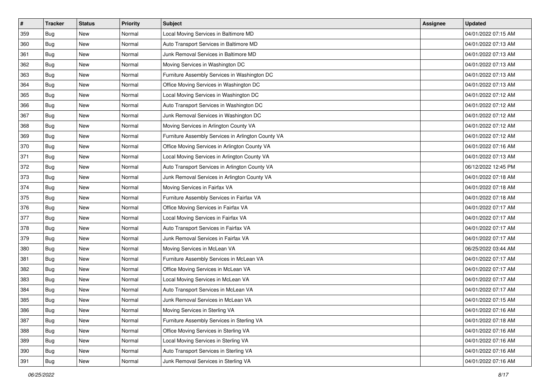| $\#$ | <b>Tracker</b> | <b>Status</b> | <b>Priority</b> | Subject                                            | <b>Assignee</b> | <b>Updated</b>      |
|------|----------------|---------------|-----------------|----------------------------------------------------|-----------------|---------------------|
| 359  | <b>Bug</b>     | New           | Normal          | Local Moving Services in Baltimore MD              |                 | 04/01/2022 07:15 AM |
| 360  | Bug            | New           | Normal          | Auto Transport Services in Baltimore MD            |                 | 04/01/2022 07:13 AM |
| 361  | <b>Bug</b>     | New           | Normal          | Junk Removal Services in Baltimore MD              |                 | 04/01/2022 07:13 AM |
| 362  | Bug            | New           | Normal          | Moving Services in Washington DC                   |                 | 04/01/2022 07:13 AM |
| 363  | <b>Bug</b>     | New           | Normal          | Furniture Assembly Services in Washington DC       |                 | 04/01/2022 07:13 AM |
| 364  | <b>Bug</b>     | New           | Normal          | Office Moving Services in Washington DC            |                 | 04/01/2022 07:13 AM |
| 365  | <b>Bug</b>     | New           | Normal          | Local Moving Services in Washington DC             |                 | 04/01/2022 07:12 AM |
| 366  | <b>Bug</b>     | New           | Normal          | Auto Transport Services in Washington DC           |                 | 04/01/2022 07:12 AM |
| 367  | <b>Bug</b>     | New           | Normal          | Junk Removal Services in Washington DC             |                 | 04/01/2022 07:12 AM |
| 368  | <b>Bug</b>     | New           | Normal          | Moving Services in Arlington County VA             |                 | 04/01/2022 07:12 AM |
| 369  | <b>Bug</b>     | New           | Normal          | Furniture Assembly Services in Arlington County VA |                 | 04/01/2022 07:12 AM |
| 370  | <b>Bug</b>     | New           | Normal          | Office Moving Services in Arlington County VA      |                 | 04/01/2022 07:16 AM |
| 371  | <b>Bug</b>     | New           | Normal          | Local Moving Services in Arlington County VA       |                 | 04/01/2022 07:13 AM |
| 372  | <b>Bug</b>     | New           | Normal          | Auto Transport Services in Arlington County VA     |                 | 06/12/2022 12:45 PM |
| 373  | <b>Bug</b>     | New           | Normal          | Junk Removal Services in Arlington County VA       |                 | 04/01/2022 07:18 AM |
| 374  | <b>Bug</b>     | New           | Normal          | Moving Services in Fairfax VA                      |                 | 04/01/2022 07:18 AM |
| 375  | Bug            | New           | Normal          | Furniture Assembly Services in Fairfax VA          |                 | 04/01/2022 07:18 AM |
| 376  | <b>Bug</b>     | New           | Normal          | Office Moving Services in Fairfax VA               |                 | 04/01/2022 07:17 AM |
| 377  | <b>Bug</b>     | New           | Normal          | Local Moving Services in Fairfax VA                |                 | 04/01/2022 07:17 AM |
| 378  | <b>Bug</b>     | New           | Normal          | Auto Transport Services in Fairfax VA              |                 | 04/01/2022 07:17 AM |
| 379  | <b>Bug</b>     | New           | Normal          | Junk Removal Services in Fairfax VA                |                 | 04/01/2022 07:17 AM |
| 380  | Bug            | New           | Normal          | Moving Services in McLean VA                       |                 | 06/25/2022 03:44 AM |
| 381  | Bug            | New           | Normal          | Furniture Assembly Services in McLean VA           |                 | 04/01/2022 07:17 AM |
| 382  | <b>Bug</b>     | New           | Normal          | Office Moving Services in McLean VA                |                 | 04/01/2022 07:17 AM |
| 383  | <b>Bug</b>     | New           | Normal          | Local Moving Services in McLean VA                 |                 | 04/01/2022 07:17 AM |
| 384  | <b>Bug</b>     | New           | Normal          | Auto Transport Services in McLean VA               |                 | 04/01/2022 07:17 AM |
| 385  | <b>Bug</b>     | New           | Normal          | Junk Removal Services in McLean VA                 |                 | 04/01/2022 07:15 AM |
| 386  | <b>Bug</b>     | New           | Normal          | Moving Services in Sterling VA                     |                 | 04/01/2022 07:16 AM |
| 387  | <b>Bug</b>     | New           | Normal          | Furniture Assembly Services in Sterling VA         |                 | 04/01/2022 07:18 AM |
| 388  | Bug            | New           | Normal          | Office Moving Services in Sterling VA              |                 | 04/01/2022 07:16 AM |
| 389  | <b>Bug</b>     | New           | Normal          | Local Moving Services in Sterling VA               |                 | 04/01/2022 07:16 AM |
| 390  | <b>Bug</b>     | New           | Normal          | Auto Transport Services in Sterling VA             |                 | 04/01/2022 07:16 AM |
| 391  | <b>Bug</b>     | New           | Normal          | Junk Removal Services in Sterling VA               |                 | 04/01/2022 07:16 AM |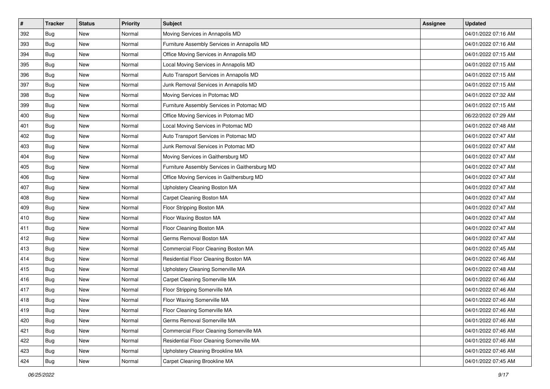| #   | <b>Tracker</b> | <b>Status</b> | <b>Priority</b> | <b>Subject</b>                                 | Assignee | <b>Updated</b>      |
|-----|----------------|---------------|-----------------|------------------------------------------------|----------|---------------------|
| 392 | <b>Bug</b>     | New           | Normal          | Moving Services in Annapolis MD                |          | 04/01/2022 07:16 AM |
| 393 | <b>Bug</b>     | <b>New</b>    | Normal          | Furniture Assembly Services in Annapolis MD    |          | 04/01/2022 07:16 AM |
| 394 | <b>Bug</b>     | New           | Normal          | Office Moving Services in Annapolis MD         |          | 04/01/2022 07:15 AM |
| 395 | Bug            | New           | Normal          | Local Moving Services in Annapolis MD          |          | 04/01/2022 07:15 AM |
| 396 | <b>Bug</b>     | New           | Normal          | Auto Transport Services in Annapolis MD        |          | 04/01/2022 07:15 AM |
| 397 | <b>Bug</b>     | New           | Normal          | Junk Removal Services in Annapolis MD          |          | 04/01/2022 07:15 AM |
| 398 | <b>Bug</b>     | <b>New</b>    | Normal          | Moving Services in Potomac MD                  |          | 04/01/2022 07:32 AM |
| 399 | <b>Bug</b>     | New           | Normal          | Furniture Assembly Services in Potomac MD      |          | 04/01/2022 07:15 AM |
| 400 | Bug            | New           | Normal          | Office Moving Services in Potomac MD           |          | 06/22/2022 07:29 AM |
| 401 | <b>Bug</b>     | <b>New</b>    | Normal          | Local Moving Services in Potomac MD            |          | 04/01/2022 07:48 AM |
| 402 | <b>Bug</b>     | New           | Normal          | Auto Transport Services in Potomac MD          |          | 04/01/2022 07:47 AM |
| 403 | Bug            | New           | Normal          | Junk Removal Services in Potomac MD            |          | 04/01/2022 07:47 AM |
| 404 | <b>Bug</b>     | New           | Normal          | Moving Services in Gaithersburg MD             |          | 04/01/2022 07:47 AM |
| 405 | <b>Bug</b>     | New           | Normal          | Furniture Assembly Services in Gaithersburg MD |          | 04/01/2022 07:47 AM |
| 406 | <b>Bug</b>     | New           | Normal          | Office Moving Services in Gaithersburg MD      |          | 04/01/2022 07:47 AM |
| 407 | <b>Bug</b>     | New           | Normal          | Upholstery Cleaning Boston MA                  |          | 04/01/2022 07:47 AM |
| 408 | Bug            | New           | Normal          | Carpet Cleaning Boston MA                      |          | 04/01/2022 07:47 AM |
| 409 | <b>Bug</b>     | New           | Normal          | Floor Stripping Boston MA                      |          | 04/01/2022 07:47 AM |
| 410 | <b>Bug</b>     | New           | Normal          | Floor Waxing Boston MA                         |          | 04/01/2022 07:47 AM |
| 411 | <b>Bug</b>     | <b>New</b>    | Normal          | Floor Cleaning Boston MA                       |          | 04/01/2022 07:47 AM |
| 412 | <b>Bug</b>     | New           | Normal          | Germs Removal Boston MA                        |          | 04/01/2022 07:47 AM |
| 413 | Bug            | New           | Normal          | Commercial Floor Cleaning Boston MA            |          | 04/01/2022 07:45 AM |
| 414 | <b>Bug</b>     | <b>New</b>    | Normal          | Residential Floor Cleaning Boston MA           |          | 04/01/2022 07:46 AM |
| 415 | <b>Bug</b>     | New           | Normal          | Upholstery Cleaning Somerville MA              |          | 04/01/2022 07:48 AM |
| 416 | <b>Bug</b>     | New           | Normal          | Carpet Cleaning Somerville MA                  |          | 04/01/2022 07:46 AM |
| 417 | Bug            | New           | Normal          | Floor Stripping Somerville MA                  |          | 04/01/2022 07:46 AM |
| 418 | Bug            | New           | Normal          | Floor Waxing Somerville MA                     |          | 04/01/2022 07:46 AM |
| 419 | <b>Bug</b>     | <b>New</b>    | Normal          | Floor Cleaning Somerville MA                   |          | 04/01/2022 07:46 AM |
| 420 | <b>Bug</b>     | New           | Normal          | Germs Removal Somerville MA                    |          | 04/01/2022 07:46 AM |
| 421 | <b>Bug</b>     | New           | Normal          | Commercial Floor Cleaning Somerville MA        |          | 04/01/2022 07:46 AM |
| 422 | <b>Bug</b>     | New           | Normal          | Residential Floor Cleaning Somerville MA       |          | 04/01/2022 07:46 AM |
| 423 | <b>Bug</b>     | New           | Normal          | Upholstery Cleaning Brookline MA               |          | 04/01/2022 07:46 AM |
| 424 | <b>Bug</b>     | New           | Normal          | Carpet Cleaning Brookline MA                   |          | 04/01/2022 07:45 AM |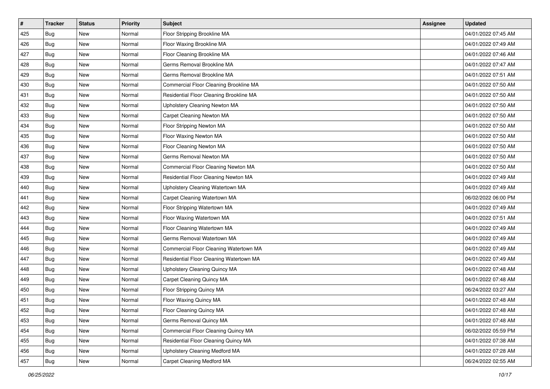| #   | <b>Tracker</b> | <b>Status</b> | <b>Priority</b> | <b>Subject</b>                          | Assignee | <b>Updated</b>      |
|-----|----------------|---------------|-----------------|-----------------------------------------|----------|---------------------|
| 425 | <b>Bug</b>     | New           | Normal          | Floor Stripping Brookline MA            |          | 04/01/2022 07:45 AM |
| 426 | <b>Bug</b>     | <b>New</b>    | Normal          | Floor Waxing Brookline MA               |          | 04/01/2022 07:49 AM |
| 427 | <b>Bug</b>     | New           | Normal          | Floor Cleaning Brookline MA             |          | 04/01/2022 07:46 AM |
| 428 | Bug            | New           | Normal          | Germs Removal Brookline MA              |          | 04/01/2022 07:47 AM |
| 429 | <b>Bug</b>     | <b>New</b>    | Normal          | Germs Removal Brookline MA              |          | 04/01/2022 07:51 AM |
| 430 | <b>Bug</b>     | New           | Normal          | Commercial Floor Cleaning Brookline MA  |          | 04/01/2022 07:50 AM |
| 431 | <b>Bug</b>     | New           | Normal          | Residential Floor Cleaning Brookline MA |          | 04/01/2022 07:50 AM |
| 432 | <b>Bug</b>     | New           | Normal          | Upholstery Cleaning Newton MA           |          | 04/01/2022 07:50 AM |
| 433 | Bug            | New           | Normal          | Carpet Cleaning Newton MA               |          | 04/01/2022 07:50 AM |
| 434 | <b>Bug</b>     | <b>New</b>    | Normal          | Floor Stripping Newton MA               |          | 04/01/2022 07:50 AM |
| 435 | <b>Bug</b>     | New           | Normal          | Floor Waxing Newton MA                  |          | 04/01/2022 07:50 AM |
| 436 | <b>Bug</b>     | New           | Normal          | Floor Cleaning Newton MA                |          | 04/01/2022 07:50 AM |
| 437 | <b>Bug</b>     | New           | Normal          | Germs Removal Newton MA                 |          | 04/01/2022 07:50 AM |
| 438 | <b>Bug</b>     | <b>New</b>    | Normal          | Commercial Floor Cleaning Newton MA     |          | 04/01/2022 07:50 AM |
| 439 | <b>Bug</b>     | New           | Normal          | Residential Floor Cleaning Newton MA    |          | 04/01/2022 07:49 AM |
| 440 | <b>Bug</b>     | New           | Normal          | Upholstery Cleaning Watertown MA        |          | 04/01/2022 07:49 AM |
| 441 | Bug            | New           | Normal          | Carpet Cleaning Watertown MA            |          | 06/02/2022 06:00 PM |
| 442 | <b>Bug</b>     | New           | Normal          | Floor Stripping Watertown MA            |          | 04/01/2022 07:49 AM |
| 443 | <b>Bug</b>     | New           | Normal          | Floor Waxing Watertown MA               |          | 04/01/2022 07:51 AM |
| 444 | <b>Bug</b>     | <b>New</b>    | Normal          | Floor Cleaning Watertown MA             |          | 04/01/2022 07:49 AM |
| 445 | <b>Bug</b>     | New           | Normal          | Germs Removal Watertown MA              |          | 04/01/2022 07:49 AM |
| 446 | Bug            | New           | Normal          | Commercial Floor Cleaning Watertown MA  |          | 04/01/2022 07:49 AM |
| 447 | <b>Bug</b>     | <b>New</b>    | Normal          | Residential Floor Cleaning Watertown MA |          | 04/01/2022 07:49 AM |
| 448 | <b>Bug</b>     | New           | Normal          | Upholstery Cleaning Quincy MA           |          | 04/01/2022 07:48 AM |
| 449 | <b>Bug</b>     | New           | Normal          | Carpet Cleaning Quincy MA               |          | 04/01/2022 07:48 AM |
| 450 | Bug            | New           | Normal          | Floor Stripping Quincy MA               |          | 06/24/2022 03:27 AM |
| 451 | <b>Bug</b>     | New           | Normal          | Floor Waxing Quincy MA                  |          | 04/01/2022 07:48 AM |
| 452 | <b>Bug</b>     | <b>New</b>    | Normal          | Floor Cleaning Quincy MA                |          | 04/01/2022 07:48 AM |
| 453 | <b>Bug</b>     | New           | Normal          | Germs Removal Quincy MA                 |          | 04/01/2022 07:48 AM |
| 454 | <b>Bug</b>     | New           | Normal          | Commercial Floor Cleaning Quincy MA     |          | 06/02/2022 05:59 PM |
| 455 | <b>Bug</b>     | New           | Normal          | Residential Floor Cleaning Quincy MA    |          | 04/01/2022 07:38 AM |
| 456 | <b>Bug</b>     | New           | Normal          | Upholstery Cleaning Medford MA          |          | 04/01/2022 07:28 AM |
| 457 | Bug            | New           | Normal          | Carpet Cleaning Medford MA              |          | 06/24/2022 02:55 AM |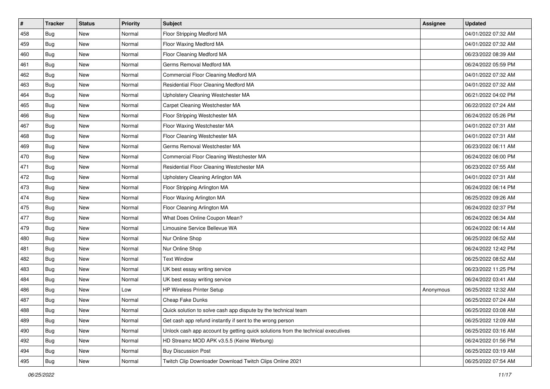| #   | <b>Tracker</b> | <b>Status</b> | <b>Priority</b> | Subject                                                                          | Assignee  | <b>Updated</b>      |
|-----|----------------|---------------|-----------------|----------------------------------------------------------------------------------|-----------|---------------------|
| 458 | <b>Bug</b>     | New           | Normal          | Floor Stripping Medford MA                                                       |           | 04/01/2022 07:32 AM |
| 459 | <b>Bug</b>     | <b>New</b>    | Normal          | Floor Waxing Medford MA                                                          |           | 04/01/2022 07:32 AM |
| 460 | Bug            | New           | Normal          | Floor Cleaning Medford MA                                                        |           | 06/23/2022 08:39 AM |
| 461 | Bug            | New           | Normal          | Germs Removal Medford MA                                                         |           | 06/24/2022 05:59 PM |
| 462 | <b>Bug</b>     | <b>New</b>    | Normal          | Commercial Floor Cleaning Medford MA                                             |           | 04/01/2022 07:32 AM |
| 463 | Bug            | New           | Normal          | Residential Floor Cleaning Medford MA                                            |           | 04/01/2022 07:32 AM |
| 464 | <b>Bug</b>     | <b>New</b>    | Normal          | Upholstery Cleaning Westchester MA                                               |           | 06/21/2022 04:02 PM |
| 465 | <b>Bug</b>     | New           | Normal          | Carpet Cleaning Westchester MA                                                   |           | 06/22/2022 07:24 AM |
| 466 | Bug            | New           | Normal          | Floor Stripping Westchester MA                                                   |           | 06/24/2022 05:26 PM |
| 467 | <b>Bug</b>     | <b>New</b>    | Normal          | Floor Waxing Westchester MA                                                      |           | 04/01/2022 07:31 AM |
| 468 | <b>Bug</b>     | New           | Normal          | Floor Cleaning Westchester MA                                                    |           | 04/01/2022 07:31 AM |
| 469 | Bug            | New           | Normal          | Germs Removal Westchester MA                                                     |           | 06/23/2022 06:11 AM |
| 470 | Bug            | New           | Normal          | Commercial Floor Cleaning Westchester MA                                         |           | 06/24/2022 06:00 PM |
| 471 | Bug            | New           | Normal          | Residential Floor Cleaning Westchester MA                                        |           | 06/23/2022 07:55 AM |
| 472 | <b>Bug</b>     | New           | Normal          | Upholstery Cleaning Arlington MA                                                 |           | 04/01/2022 07:31 AM |
| 473 | Bug            | New           | Normal          | Floor Stripping Arlington MA                                                     |           | 06/24/2022 06:14 PM |
| 474 | Bug            | New           | Normal          | Floor Waxing Arlington MA                                                        |           | 06/25/2022 09:26 AM |
| 475 | Bug            | New           | Normal          | Floor Cleaning Arlington MA                                                      |           | 06/24/2022 02:37 PM |
| 477 | Bug            | New           | Normal          | What Does Online Coupon Mean?                                                    |           | 06/24/2022 06:34 AM |
| 479 | <b>Bug</b>     | <b>New</b>    | Normal          | Limousine Service Bellevue WA                                                    |           | 06/24/2022 06:14 AM |
| 480 | <b>Bug</b>     | New           | Normal          | Nur Online Shop                                                                  |           | 06/25/2022 06:52 AM |
| 481 | Bug            | New           | Normal          | Nur Online Shop                                                                  |           | 06/24/2022 12:42 PM |
| 482 | <b>Bug</b>     | New           | Normal          | <b>Text Window</b>                                                               |           | 06/25/2022 08:52 AM |
| 483 | <b>Bug</b>     | New           | Normal          | UK best essay writing service                                                    |           | 06/23/2022 11:25 PM |
| 484 | <b>Bug</b>     | New           | Normal          | UK best essay writing service                                                    |           | 06/24/2022 03:41 AM |
| 486 | <b>Bug</b>     | New           | Low             | HP Wireless Printer Setup                                                        | Anonymous | 06/25/2022 12:32 AM |
| 487 | Bug            | New           | Normal          | Cheap Fake Dunks                                                                 |           | 06/25/2022 07:24 AM |
| 488 | <b>Bug</b>     | <b>New</b>    | Normal          | Quick solution to solve cash app dispute by the technical team                   |           | 06/25/2022 03:08 AM |
| 489 | Bug            | New           | Normal          | Get cash app refund instantly if sent to the wrong person                        |           | 06/25/2022 12:09 AM |
| 490 | <b>Bug</b>     | New           | Normal          | Unlock cash app account by getting quick solutions from the technical executives |           | 06/25/2022 03:16 AM |
| 492 | Bug            | New           | Normal          | HD Streamz MOD APK v3.5.5 (Keine Werbung)                                        |           | 06/24/2022 01:56 PM |
| 494 | <b>Bug</b>     | New           | Normal          | <b>Buy Discussion Post</b>                                                       |           | 06/25/2022 03:19 AM |
| 495 | Bug            | New           | Normal          | Twitch Clip Downloader Download Twitch Clips Online 2021                         |           | 06/25/2022 07:54 AM |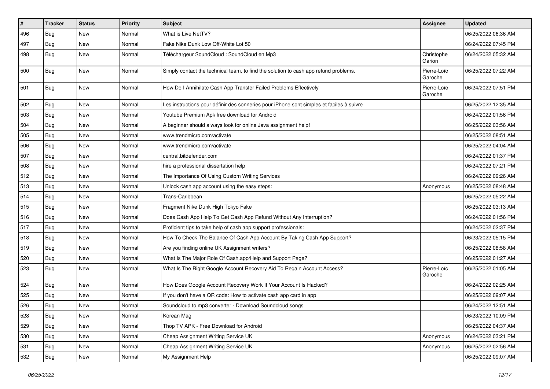| #   | <b>Tracker</b> | <b>Status</b> | <b>Priority</b> | <b>Subject</b>                                                                           | <b>Assignee</b>        | <b>Updated</b>      |
|-----|----------------|---------------|-----------------|------------------------------------------------------------------------------------------|------------------------|---------------------|
| 496 | <b>Bug</b>     | New           | Normal          | What is Live NetTV?                                                                      |                        | 06/25/2022 06:36 AM |
| 497 | Bug            | <b>New</b>    | Normal          | Fake Nike Dunk Low Off-White Lot 50                                                      |                        | 06/24/2022 07:45 PM |
| 498 | <b>Bug</b>     | New           | Normal          | Téléchargeur SoundCloud : SoundCloud en Mp3                                              | Christophe<br>Garion   | 06/24/2022 05:32 AM |
| 500 | <b>Bug</b>     | <b>New</b>    | Normal          | Simply contact the technical team, to find the solution to cash app refund problems.     | Pierre-Loïc<br>Garoche | 06/25/2022 07:22 AM |
| 501 | <b>Bug</b>     | New           | Normal          | How Do I Annihilate Cash App Transfer Failed Problems Effectively                        | Pierre-Loïc<br>Garoche | 06/24/2022 07:51 PM |
| 502 | <b>Bug</b>     | New           | Normal          | Les instructions pour définir des sonneries pour iPhone sont simples et faciles à suivre |                        | 06/25/2022 12:35 AM |
| 503 | Bug            | New           | Normal          | Youtube Premium Apk free download for Android                                            |                        | 06/24/2022 01:56 PM |
| 504 | <b>Bug</b>     | New           | Normal          | A beginner should always look for online Java assignment help!                           |                        | 06/25/2022 03:56 AM |
| 505 | <b>Bug</b>     | New           | Normal          | www.trendmicro.com/activate                                                              |                        | 06/25/2022 08:51 AM |
| 506 | <b>Bug</b>     | New           | Normal          | www.trendmicro.com/activate                                                              |                        | 06/25/2022 04:04 AM |
| 507 | <b>Bug</b>     | New           | Normal          | central.bitdefender.com                                                                  |                        | 06/24/2022 01:37 PM |
| 508 | <b>Bug</b>     | <b>New</b>    | Normal          | hire a professional dissertation help                                                    |                        | 06/24/2022 07:21 PM |
| 512 | <b>Bug</b>     | New           | Normal          | The Importance Of Using Custom Writing Services                                          |                        | 06/24/2022 09:26 AM |
| 513 | <b>Bug</b>     | New           | Normal          | Unlock cash app account using the easy steps:                                            | Anonymous              | 06/25/2022 08:48 AM |
| 514 | <b>Bug</b>     | <b>New</b>    | Normal          | Trans-Caribbean                                                                          |                        | 06/25/2022 05:22 AM |
| 515 | <b>Bug</b>     | New           | Normal          | Fragment Nike Dunk High Tokyo Fake                                                       |                        | 06/25/2022 03:13 AM |
| 516 | Bug            | New           | Normal          | Does Cash App Help To Get Cash App Refund Without Any Interruption?                      |                        | 06/24/2022 01:56 PM |
| 517 | <b>Bug</b>     | New           | Normal          | Proficient tips to take help of cash app support professionals:                          |                        | 06/24/2022 02:37 PM |
| 518 | <b>Bug</b>     | New           | Normal          | How To Check The Balance Of Cash App Account By Taking Cash App Support?                 |                        | 06/23/2022 05:15 PM |
| 519 | <b>Bug</b>     | New           | Normal          | Are you finding online UK Assignment writers?                                            |                        | 06/25/2022 08:58 AM |
| 520 | <b>Bug</b>     | New           | Normal          | What Is The Major Role Of Cash.app/Help and Support Page?                                |                        | 06/25/2022 01:27 AM |
| 523 | Bug            | New           | Normal          | What Is The Right Google Account Recovery Aid To Regain Account Access?                  | Pierre-Loïc<br>Garoche | 06/25/2022 01:05 AM |
| 524 | <b>Bug</b>     | New           | Normal          | How Does Google Account Recovery Work If Your Account Is Hacked?                         |                        | 06/24/2022 02:25 AM |
| 525 | <b>Bug</b>     | New           | Normal          | If you don't have a QR code: How to activate cash app card in app                        |                        | 06/25/2022 09:07 AM |
| 526 | <b>Bug</b>     | New           | Normal          | Soundcloud to mp3 converter - Download Soundcloud songs                                  |                        | 06/24/2022 12:51 AM |
| 528 | Bug            | New           | Normal          | Korean Mag                                                                               |                        | 06/23/2022 10:09 PM |
| 529 | <b>Bug</b>     | New           | Normal          | Thop TV APK - Free Download for Android                                                  |                        | 06/25/2022 04:37 AM |
| 530 | <b>Bug</b>     | New           | Normal          | Cheap Assignment Writing Service UK                                                      | Anonymous              | 06/24/2022 03:21 PM |
| 531 | <b>Bug</b>     | New           | Normal          | Cheap Assignment Writing Service UK                                                      | Anonymous              | 06/25/2022 02:56 AM |
| 532 | <b>Bug</b>     | New           | Normal          | My Assignment Help                                                                       |                        | 06/25/2022 09:07 AM |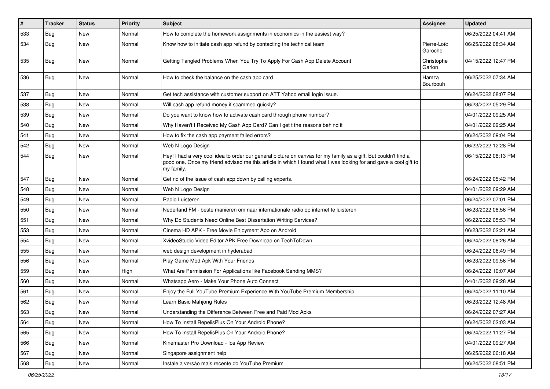| $\#$ | <b>Tracker</b> | <b>Status</b> | <b>Priority</b> | Subject                                                                                                                                                                                                                                           | Assignee               | <b>Updated</b>      |
|------|----------------|---------------|-----------------|---------------------------------------------------------------------------------------------------------------------------------------------------------------------------------------------------------------------------------------------------|------------------------|---------------------|
| 533  | <b>Bug</b>     | <b>New</b>    | Normal          | How to complete the homework assignments in economics in the easiest way?                                                                                                                                                                         |                        | 06/25/2022 04:41 AM |
| 534  | <b>Bug</b>     | <b>New</b>    | Normal          | Know how to initiate cash app refund by contacting the technical team                                                                                                                                                                             | Pierre-Loïc<br>Garoche | 06/25/2022 08:34 AM |
| 535  | <b>Bug</b>     | <b>New</b>    | Normal          | Getting Tangled Problems When You Try To Apply For Cash App Delete Account                                                                                                                                                                        | Christophe<br>Garion   | 04/15/2022 12:47 PM |
| 536  | Bug            | <b>New</b>    | Normal          | How to check the balance on the cash app card                                                                                                                                                                                                     | Hamza<br>Bourbouh      | 06/25/2022 07:34 AM |
| 537  | <b>Bug</b>     | <b>New</b>    | Normal          | Get tech assistance with customer support on ATT Yahoo email login issue.                                                                                                                                                                         |                        | 06/24/2022 08:07 PM |
| 538  | <b>Bug</b>     | New           | Normal          | Will cash app refund money if scammed quickly?                                                                                                                                                                                                    |                        | 06/23/2022 05:29 PM |
| 539  | <b>Bug</b>     | <b>New</b>    | Normal          | Do you want to know how to activate cash card through phone number?                                                                                                                                                                               |                        | 04/01/2022 09:25 AM |
| 540  | <b>Bug</b>     | New           | Normal          | Why Haven't I Received My Cash App Card? Can I get t the reasons behind it                                                                                                                                                                        |                        | 04/01/2022 09:25 AM |
| 541  | <b>Bug</b>     | <b>New</b>    | Normal          | How to fix the cash app payment failed errors?                                                                                                                                                                                                    |                        | 06/24/2022 09:04 PM |
| 542  | <b>Bug</b>     | New           | Normal          | Web N Logo Design                                                                                                                                                                                                                                 |                        | 06/22/2022 12:28 PM |
| 544  | Bug            | <b>New</b>    | Normal          | Hey! I had a very cool idea to order our general picture on canvas for my family as a gift. But couldn't find a<br>good one. Once my friend advised me this article in which I found what I was looking for and gave a cool gift to<br>my family. |                        | 06/15/2022 08:13 PM |
| 547  | <b>Bug</b>     | <b>New</b>    | Normal          | Get rid of the issue of cash app down by calling experts.                                                                                                                                                                                         |                        | 06/24/2022 05:42 PM |
| 548  | <b>Bug</b>     | <b>New</b>    | Normal          | Web N Logo Design                                                                                                                                                                                                                                 |                        | 04/01/2022 09:29 AM |
| 549  | <b>Bug</b>     | New           | Normal          | Radio Luisteren                                                                                                                                                                                                                                   |                        | 06/24/2022 07:01 PM |
| 550  | Bug            | <b>New</b>    | Normal          | Nederland FM - beste manieren om naar internationale radio op internet te luisteren                                                                                                                                                               |                        | 06/23/2022 08:56 PM |
| 551  | <b>Bug</b>     | <b>New</b>    | Normal          | Why Do Students Need Online Best Dissertation Writing Services?                                                                                                                                                                                   |                        | 06/22/2022 05:53 PM |
| 553  | <b>Bug</b>     | <b>New</b>    | Normal          | Cinema HD APK - Free Movie Enjoyment App on Android                                                                                                                                                                                               |                        | 06/23/2022 02:21 AM |
| 554  | <b>Bug</b>     | <b>New</b>    | Normal          | XvideoStudio Video Editor APK Free Download on TechToDown                                                                                                                                                                                         |                        | 06/24/2022 08:26 AM |
| 555  | <b>Bug</b>     | <b>New</b>    | Normal          | web design development in hyderabad                                                                                                                                                                                                               |                        | 06/24/2022 06:49 PM |
| 556  | <b>Bug</b>     | <b>New</b>    | Normal          | Play Game Mod Apk With Your Friends                                                                                                                                                                                                               |                        | 06/23/2022 09:56 PM |
| 559  | <b>Bug</b>     | New           | High            | What Are Permission For Applications like Facebook Sending MMS?                                                                                                                                                                                   |                        | 06/24/2022 10:07 AM |
| 560  | <b>Bug</b>     | <b>New</b>    | Normal          | Whatsapp Aero - Make Your Phone Auto Connect                                                                                                                                                                                                      |                        | 04/01/2022 09:28 AM |
| 561  | Bug            | New           | Normal          | Enjoy the Full YouTube Premium Experience With YouTube Premium Membership                                                                                                                                                                         |                        | 06/24/2022 11:10 AM |
| 562  | <b>Bug</b>     | <b>New</b>    | Normal          | Learn Basic Mahjong Rules                                                                                                                                                                                                                         |                        | 06/23/2022 12:48 AM |
| 563  | Bug            | New           | Normal          | Understanding the Difference Between Free and Paid Mod Apks                                                                                                                                                                                       |                        | 06/24/2022 07:27 AM |
| 564  | Bug            | New           | Normal          | How To Install RepelisPlus On Your Android Phone?                                                                                                                                                                                                 |                        | 06/24/2022 02:03 AM |
| 565  | <b>Bug</b>     | New           | Normal          | How To Install RepelisPlus On Your Android Phone?                                                                                                                                                                                                 |                        | 06/24/2022 11:27 PM |
| 566  | Bug            | New           | Normal          | Kinemaster Pro Download - los App Review                                                                                                                                                                                                          |                        | 04/01/2022 09:27 AM |
| 567  | <b>Bug</b>     | New           | Normal          | Singapore assignment help                                                                                                                                                                                                                         |                        | 06/25/2022 06:18 AM |
| 568  | Bug            | New           | Normal          | Instale a versão mais recente do YouTube Premium                                                                                                                                                                                                  |                        | 06/24/2022 08:51 PM |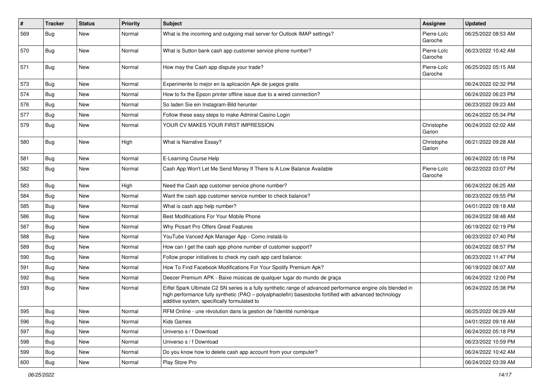| #   | <b>Tracker</b> | <b>Status</b> | Priority | <b>Subject</b>                                                                                                                                                                                                                                                        | <b>Assignee</b>        | <b>Updated</b>      |
|-----|----------------|---------------|----------|-----------------------------------------------------------------------------------------------------------------------------------------------------------------------------------------------------------------------------------------------------------------------|------------------------|---------------------|
| 569 | <b>Bug</b>     | <b>New</b>    | Normal   | What is the incoming and outgoing mail server for Outlook IMAP settings?                                                                                                                                                                                              | Pierre-Loïc<br>Garoche | 06/25/2022 08:53 AM |
| 570 | <b>Bug</b>     | <b>New</b>    | Normal   | What is Sutton bank cash app customer service phone number?                                                                                                                                                                                                           | Pierre-Loïc<br>Garoche | 06/23/2022 10:42 AM |
| 571 | <b>Bug</b>     | <b>New</b>    | Normal   | How may the Cash app dispute your trade?                                                                                                                                                                                                                              | Pierre-Loïc<br>Garoche | 06/25/2022 05:15 AM |
| 573 | <b>Bug</b>     | <b>New</b>    | Normal   | Experimente lo mejor en la aplicación Apk de juegos gratis                                                                                                                                                                                                            |                        | 06/24/2022 02:32 PM |
| 574 | <b>Bug</b>     | <b>New</b>    | Normal   | How to fix the Epson printer offline issue due to a wired connection?                                                                                                                                                                                                 |                        | 06/24/2022 06:23 PM |
| 576 | Bug            | <b>New</b>    | Normal   | So laden Sie ein Instagram-Bild herunter                                                                                                                                                                                                                              |                        | 06/23/2022 09:23 AM |
| 577 | <b>Bug</b>     | <b>New</b>    | Normal   | Follow these easy steps to make Admiral Casino Login                                                                                                                                                                                                                  |                        | 06/24/2022 05:34 PM |
| 579 | <b>Bug</b>     | <b>New</b>    | Normal   | YOUR CV MAKES YOUR FIRST IMPRESSION                                                                                                                                                                                                                                   | Christophe<br>Garion   | 06/24/2022 02:02 AM |
| 580 | <b>Bug</b>     | <b>New</b>    | High     | What is Narrative Essay?                                                                                                                                                                                                                                              | Christophe<br>Garion   | 06/21/2022 09:28 AM |
| 581 | <b>Bug</b>     | <b>New</b>    | Normal   | E-Learning Course Help                                                                                                                                                                                                                                                |                        | 06/24/2022 05:18 PM |
| 582 | <b>Bug</b>     | <b>New</b>    | Normal   | Cash App Won't Let Me Send Money If There Is A Low Balance Available                                                                                                                                                                                                  | Pierre-Loïc<br>Garoche | 06/22/2022 03:07 PM |
| 583 | <b>Bug</b>     | <b>New</b>    | High     | Need the Cash app customer service phone number?                                                                                                                                                                                                                      |                        | 06/24/2022 06:25 AM |
| 584 | <b>Bug</b>     | <b>New</b>    | Normal   | Want the cash app customer service number to check balance?                                                                                                                                                                                                           |                        | 06/23/2022 09:55 PM |
| 585 | <b>Bug</b>     | <b>New</b>    | Normal   | What is cash app help number?                                                                                                                                                                                                                                         |                        | 04/01/2022 09:18 AM |
| 586 | <b>Bug</b>     | <b>New</b>    | Normal   | Best Modifications For Your Mobile Phone                                                                                                                                                                                                                              |                        | 06/24/2022 08:48 AM |
| 587 | <b>Bug</b>     | <b>New</b>    | Normal   | Why Picsart Pro Offers Great Features                                                                                                                                                                                                                                 |                        | 06/19/2022 02:19 PM |
| 588 | <b>Bug</b>     | <b>New</b>    | Normal   | YouTube Vanced Apk Manager App - Como instalá-lo                                                                                                                                                                                                                      |                        | 06/23/2022 07:40 PM |
| 589 | <b>Bug</b>     | <b>New</b>    | Normal   | How can I get the cash app phone number of customer support?                                                                                                                                                                                                          |                        | 06/24/2022 08:57 PM |
| 590 | <b>Bug</b>     | <b>New</b>    | Normal   | Follow proper initiatives to check my cash app card balance:                                                                                                                                                                                                          |                        | 06/23/2022 11:47 PM |
| 591 | <b>Bug</b>     | <b>New</b>    | Normal   | How To Find Facebook Modifications For Your Spotify Premium Apk?                                                                                                                                                                                                      |                        | 06/19/2022 06:07 AM |
| 592 | <b>Bug</b>     | <b>New</b>    | Normal   | Deezer Premium APK - Baixe músicas de qualquer lugar do mundo de graça                                                                                                                                                                                                |                        | 06/24/2022 12:00 PM |
| 593 | Bug            | New           | Normal   | Eiffel Spark Ultimate C2 SN series is a fully synthetic range of advanced performance engine oils blended in<br>high performance fully synthetic (PAO - polyalphaolefin) basestocks fortified with advanced technology<br>additive system, specifically formulated to |                        | 06/24/2022 05:38 PM |
| 595 | <b>Bug</b>     | New           | Normal   | RFM Online - une révolution dans la gestion de l'identité numérique                                                                                                                                                                                                   |                        | 06/25/2022 06:29 AM |
| 596 | <b>Bug</b>     | New           | Normal   | Kids Games                                                                                                                                                                                                                                                            |                        | 04/01/2022 09:18 AM |
| 597 | <b>Bug</b>     | New           | Normal   | Universo s / f Download                                                                                                                                                                                                                                               |                        | 06/24/2022 05:18 PM |
| 598 | <b>Bug</b>     | New           | Normal   | Universo s / f Download                                                                                                                                                                                                                                               |                        | 06/23/2022 10:59 PM |
| 599 | <b>Bug</b>     | New           | Normal   | Do you know how to delete cash app account from your computer?                                                                                                                                                                                                        |                        | 06/24/2022 10:42 AM |
| 600 | <b>Bug</b>     | New           | Normal   | Play Store Pro                                                                                                                                                                                                                                                        |                        | 06/24/2022 03:39 AM |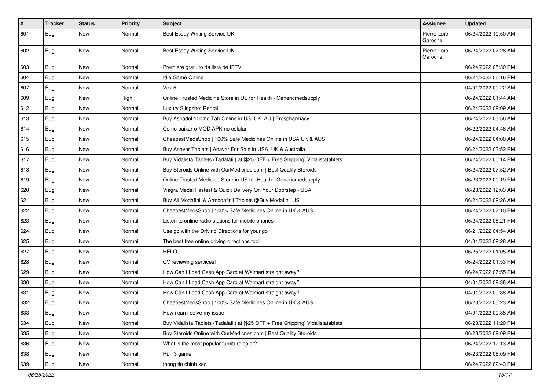| $\vert$ # | <b>Tracker</b> | <b>Status</b> | <b>Priority</b> | <b>Subject</b>                                                                   | Assignee               | <b>Updated</b>      |
|-----------|----------------|---------------|-----------------|----------------------------------------------------------------------------------|------------------------|---------------------|
| 601       | Bug            | New           | Normal          | Best Essay Writing Service UK                                                    | Pierre-Loïc<br>Garoche | 06/24/2022 10:50 AM |
| 602       | <b>Bug</b>     | New           | Normal          | Best Essay Writing Service UK                                                    | Pierre-Loïc<br>Garoche | 06/24/2022 07:28 AM |
| 603       | Bug            | <b>New</b>    | Normal          | Premiere gratuito da lista de IPTV                                               |                        | 06/24/2022 05:30 PM |
| 604       | <b>Bug</b>     | New           | Normal          | Idle Game Online                                                                 |                        | 06/24/2022 06:16 PM |
| 607       | <b>Bug</b>     | <b>New</b>    | Normal          | Vex 5                                                                            |                        | 04/01/2022 09:22 AM |
| 609       | Bug            | New           | High            | Online Trusted Medicine Store in US for Health - Genericmedsupply                |                        | 06/24/2022 01:44 AM |
| 612       | Bug            | New           | Normal          | Luxury Slingshot Rental                                                          |                        | 06/24/2022 09:09 AM |
| 613       | <b>Bug</b>     | <b>New</b>    | Normal          | Buy Aspadol 100mg Tab Online in US, UK, AU   Erospharmacy                        |                        | 06/24/2022 03:56 AM |
| 614       | <b>Bug</b>     | New           | Normal          | Como baixar o MOD APK no celular                                                 |                        | 06/22/2022 04:46 AM |
| 615       | Bug            | New           | Normal          | CheapestMedsShop   100% Safe Medicines Online in USA UK & AUS.                   |                        | 06/24/2022 04:00 AM |
| 616       | <b>Bug</b>     | <b>New</b>    | Normal          | Buy Anavar Tablets   Anavar For Sale in USA, UK & Australia                      |                        | 06/24/2022 03:52 PM |
| 617       | Bug            | New           | Normal          | Buy Vidalista Tablets (Tadalafil) at [\$25 OFF + Free Shipping] Vidalistatablets |                        | 06/24/2022 05:14 PM |
| 618       | <b>Bug</b>     | <b>New</b>    | Normal          | Buy Steroids Online with OurMedicnes.com   Best Quality Steroids                 |                        | 06/24/2022 07:52 AM |
| 619       | Bug            | New           | Normal          | Online Trusted Medicine Store in US for Health - Genericmedsupply                |                        | 06/23/2022 09:19 PM |
| 620       | Bug            | <b>New</b>    | Normal          | Viagra Meds: Fastest & Quick Delivery On Your Doorstep - USA                     |                        | 06/23/2022 12:03 AM |
| 621       | <b>Bug</b>     | New           | Normal          | Buy All Modafinil & Armodafinil Tablets @Buy Modafinil US                        |                        | 06/24/2022 09:26 AM |
| 622       | Bug            | New           | Normal          | CheapestMedsShop   100% Safe Medicines Online in UK & AUS.                       |                        | 06/24/2022 07:10 PM |
| 623       | <b>Bug</b>     | <b>New</b>    | Normal          | Listen to online radio stations for mobile phones                                |                        | 06/24/2022 08:21 PM |
| 624       | Bug            | New           | Normal          | Use go with the Driving Directions for your go                                   |                        | 06/21/2022 04:54 AM |
| 625       | Bug            | New           | Normal          | The best free online driving directions tool                                     |                        | 04/01/2022 09:28 AM |
| 627       | <b>Bug</b>     | <b>New</b>    | Normal          | <b>HELO</b>                                                                      |                        | 06/25/2022 01:05 AM |
| 628       | <b>Bug</b>     | New           | Normal          | CV reviewing services!                                                           |                        | 06/24/2022 01:53 PM |
| 629       | Bug            | New           | Normal          | How Can I Load Cash App Card at Walmart straight away?                           |                        | 06/24/2022 07:55 PM |
| 630       | <b>Bug</b>     | <b>New</b>    | Normal          | How Can I Load Cash App Card at Walmart straight away?                           |                        | 04/01/2022 09:38 AM |
| 631       | Bug            | <b>New</b>    | Normal          | How Can I Load Cash App Card at Walmart straight away?                           |                        | 04/01/2022 09:38 AM |
| 632       | <b>Bug</b>     | New           | Normal          | CheapestMedsShop   100% Safe Medicines Online in UK & AUS.                       |                        | 06/23/2022 05:23 AM |
| 633       | Bug            | New           | Normal          | How i can i solve my issue                                                       |                        | 04/01/2022 09:38 AM |
| 634       | Bug            | New           | Normal          | Buy Vidalista Tablets (Tadalafil) at [\$25 OFF + Free Shipping] Vidalistatablets |                        | 06/23/2022 11:20 PM |
| 635       | <b>Bug</b>     | <b>New</b>    | Normal          | Buy Steroids Online with OurMedicnes.com   Best Quality Steroids                 |                        | 06/23/2022 09:09 PM |
| 636       | <b>Bug</b>     | New           | Normal          | What is the most popular furniture color?                                        |                        | 06/24/2022 12:13 AM |
| 638       | <b>Bug</b>     | New           | Normal          | Run 3 game                                                                       |                        | 06/23/2022 08:09 PM |
| 639       | <b>Bug</b>     | New           | Normal          | thong tin chinh xac                                                              |                        | 06/24/2022 02:43 PM |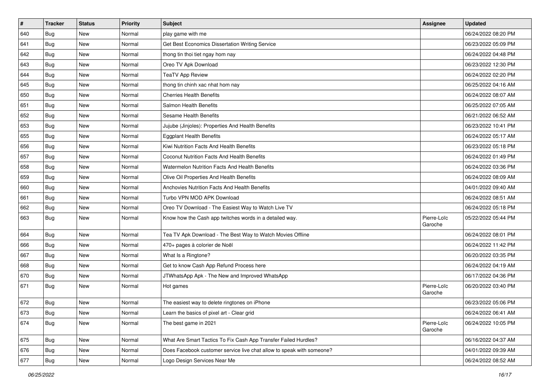| $\#$ | Tracker    | <b>Status</b> | <b>Priority</b> | Subject                                                               | Assignee               | <b>Updated</b>      |
|------|------------|---------------|-----------------|-----------------------------------------------------------------------|------------------------|---------------------|
| 640  | <b>Bug</b> | <b>New</b>    | Normal          | play game with me                                                     |                        | 06/24/2022 08:20 PM |
| 641  | <b>Bug</b> | <b>New</b>    | Normal          | Get Best Economics Dissertation Writing Service                       |                        | 06/23/2022 05:09 PM |
| 642  | <b>Bug</b> | New           | Normal          | thong tin thoi tiet ngay hom nay                                      |                        | 06/24/2022 04:48 PM |
| 643  | Bug        | <b>New</b>    | Normal          | Oreo TV Apk Download                                                  |                        | 06/23/2022 12:30 PM |
| 644  | <b>Bug</b> | <b>New</b>    | Normal          | <b>TeaTV App Review</b>                                               |                        | 06/24/2022 02:20 PM |
| 645  | <b>Bug</b> | New           | Normal          | thong tin chinh xac nhat hom nay                                      |                        | 06/25/2022 04:16 AM |
| 650  | <b>Bug</b> | <b>New</b>    | Normal          | <b>Cherries Health Benefits</b>                                       |                        | 06/24/2022 08:07 AM |
| 651  | <b>Bug</b> | New           | Normal          | Salmon Health Benefits                                                |                        | 06/25/2022 07:05 AM |
| 652  | <b>Bug</b> | <b>New</b>    | Normal          | Sesame Health Benefits                                                |                        | 06/21/2022 06:52 AM |
| 653  | Bug        | <b>New</b>    | Normal          | Jujube (Jinjoles): Properties And Health Benefits                     |                        | 06/23/2022 10:41 PM |
| 655  | <b>Bug</b> | <b>New</b>    | Normal          | <b>Eggplant Health Benefits</b>                                       |                        | 06/24/2022 05:17 AM |
| 656  | <b>Bug</b> | <b>New</b>    | Normal          | Kiwi Nutrition Facts And Health Benefits                              |                        | 06/23/2022 05:18 PM |
| 657  | <b>Bug</b> | <b>New</b>    | Normal          | Coconut Nutrition Facts And Health Benefits                           |                        | 06/24/2022 01:49 PM |
| 658  | <b>Bug</b> | <b>New</b>    | Normal          | Watermelon Nutrition Facts And Health Benefits                        |                        | 06/24/2022 03:36 PM |
| 659  | Bug        | <b>New</b>    | Normal          | Olive Oil Properties And Health Benefits                              |                        | 06/24/2022 08:09 AM |
| 660  | <b>Bug</b> | New           | Normal          | Anchovies Nutrition Facts And Health Benefits                         |                        | 04/01/2022 09:40 AM |
| 661  | <b>Bug</b> | <b>New</b>    | Normal          | Turbo VPN MOD APK Download                                            |                        | 06/24/2022 08:51 AM |
| 662  | <b>Bug</b> | <b>New</b>    | Normal          | Oreo TV Download - The Easiest Way to Watch Live TV                   |                        | 06/24/2022 05:18 PM |
| 663  | <b>Bug</b> | New           | Normal          | Know how the Cash app twitches words in a detailed way.               | Pierre-Loïc<br>Garoche | 05/22/2022 05:44 PM |
| 664  | <b>Bug</b> | New           | Normal          | Tea TV Apk Download - The Best Way to Watch Movies Offline            |                        | 06/24/2022 08:01 PM |
| 666  | <b>Bug</b> | <b>New</b>    | Normal          | 470+ pages à colorier de Noël                                         |                        | 06/24/2022 11:42 PM |
| 667  | <b>Bug</b> | <b>New</b>    | Normal          | What Is a Ringtone?                                                   |                        | 06/20/2022 03:35 PM |
| 668  | <b>Bug</b> | New           | Normal          | Get to know Cash App Refund Process here                              |                        | 06/24/2022 04:19 AM |
| 670  | <b>Bug</b> | <b>New</b>    | Normal          | JTWhatsApp Apk - The New and Improved WhatsApp                        |                        | 06/17/2022 04:36 PM |
| 671  | <b>Bug</b> | <b>New</b>    | Normal          | Hot games                                                             | Pierre-Loïc<br>Garoche | 06/20/2022 03:40 PM |
| 672  | <b>Bug</b> | <b>New</b>    | Normal          | The easiest way to delete ringtones on iPhone                         |                        | 06/23/2022 05:06 PM |
| 673  | <b>Bug</b> | New           | Normal          | Learn the basics of pixel art - Clear grid                            |                        | 06/24/2022 06:41 AM |
| 674  | <b>Bug</b> | New           | Normal          | The best game in 2021                                                 | Pierre-Loïc<br>Garoche | 06/24/2022 10:05 PM |
| 675  | <b>Bug</b> | New           | Normal          | What Are Smart Tactics To Fix Cash App Transfer Failed Hurdles?       |                        | 06/16/2022 04:37 AM |
| 676  | <b>Bug</b> | New           | Normal          | Does Facebook customer service live chat allow to speak with someone? |                        | 04/01/2022 09:39 AM |
| 677  | <b>Bug</b> | New           | Normal          | Logo Design Services Near Me                                          |                        | 06/24/2022 08:52 AM |